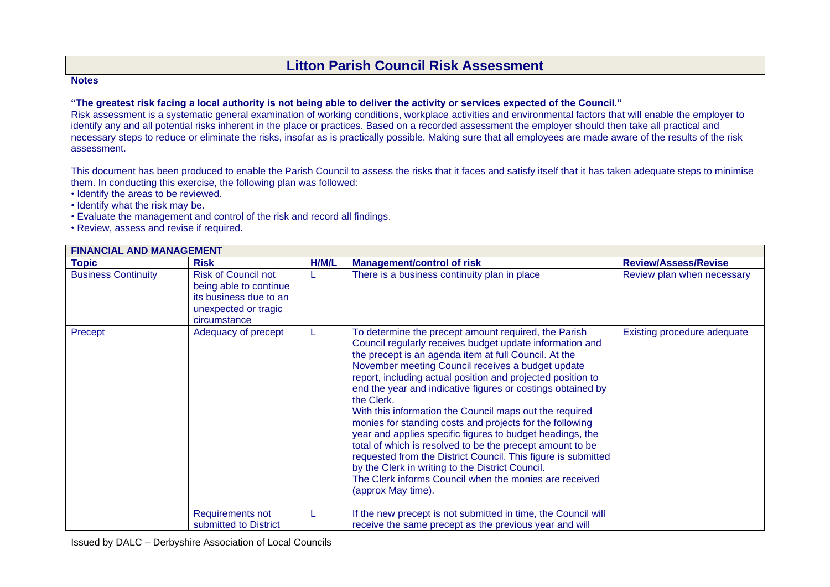## **Litton Parish Council Risk Assessment**

## **Notes**

## **"The greatest risk facing a local authority is not being able to deliver the activity or services expected of the Council."**

Risk assessment is a systematic general examination of working conditions, workplace activities and environmental factors that will enable the employer to identify any and all potential risks inherent in the place or practices. Based on a recorded assessment the employer should then take all practical and necessary steps to reduce or eliminate the risks, insofar as is practically possible. Making sure that all employees are made aware of the results of the risk assessment.

This document has been produced to enable the Parish Council to assess the risks that it faces and satisfy itself that it has taken adequate steps to minimise them. In conducting this exercise, the following plan was followed:

- Identify the areas to be reviewed.
- Identify what the risk may be.
- Evaluate the management and control of the risk and record all findings.
- Review, assess and revise if required.

| <b>Topic</b>               | <b>Risk</b>                                                                                                            | H/M/L | <b>Management/control of risk</b>                                                                                                                                                                                                                                                                                                                                                                                                                                                                                                                                                                                                                                                                                                                                                                                                | <b>Review/Assess/Revise</b> |
|----------------------------|------------------------------------------------------------------------------------------------------------------------|-------|----------------------------------------------------------------------------------------------------------------------------------------------------------------------------------------------------------------------------------------------------------------------------------------------------------------------------------------------------------------------------------------------------------------------------------------------------------------------------------------------------------------------------------------------------------------------------------------------------------------------------------------------------------------------------------------------------------------------------------------------------------------------------------------------------------------------------------|-----------------------------|
| <b>Business Continuity</b> | <b>Risk of Council not</b><br>being able to continue<br>its business due to an<br>unexpected or tragic<br>circumstance |       | There is a business continuity plan in place                                                                                                                                                                                                                                                                                                                                                                                                                                                                                                                                                                                                                                                                                                                                                                                     | Review plan when necessary  |
| Precept                    | Adequacy of precept                                                                                                    |       | To determine the precept amount required, the Parish<br>Council regularly receives budget update information and<br>the precept is an agenda item at full Council. At the<br>November meeting Council receives a budget update<br>report, including actual position and projected position to<br>end the year and indicative figures or costings obtained by<br>the Clerk.<br>With this information the Council maps out the required<br>monies for standing costs and projects for the following<br>year and applies specific figures to budget headings, the<br>total of which is resolved to be the precept amount to be<br>requested from the District Council. This figure is submitted<br>by the Clerk in writing to the District Council.<br>The Clerk informs Council when the monies are received<br>(approx May time). | Existing procedure adequate |
|                            | Requirements not<br>submitted to District                                                                              | L     | If the new precept is not submitted in time, the Council will<br>receive the same precept as the previous year and will                                                                                                                                                                                                                                                                                                                                                                                                                                                                                                                                                                                                                                                                                                          |                             |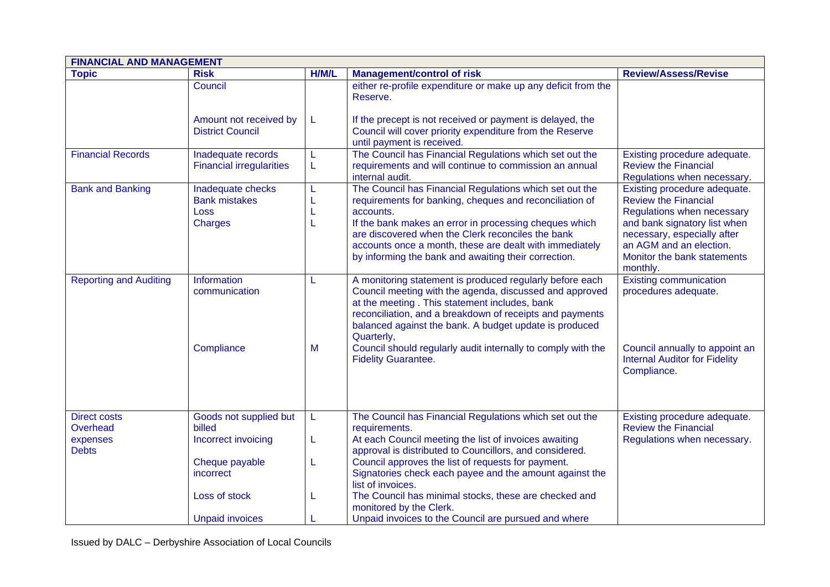| <b>FINANCIAL AND MANAGEMENT</b> |                                                                     |                  |                                                                                                                                                                                                                                                                                                                                                                   |                                                                                                                                                                                                                                |  |
|---------------------------------|---------------------------------------------------------------------|------------------|-------------------------------------------------------------------------------------------------------------------------------------------------------------------------------------------------------------------------------------------------------------------------------------------------------------------------------------------------------------------|--------------------------------------------------------------------------------------------------------------------------------------------------------------------------------------------------------------------------------|--|
| <b>Topic</b>                    | <b>Risk</b>                                                         | H/M/L            | <b>Management/control of risk</b>                                                                                                                                                                                                                                                                                                                                 | <b>Review/Assess/Revise</b>                                                                                                                                                                                                    |  |
|                                 | Council                                                             |                  | either re-profile expenditure or make up any deficit from the<br>Reserve.                                                                                                                                                                                                                                                                                         |                                                                                                                                                                                                                                |  |
|                                 | Amount not received by<br><b>District Council</b>                   | L                | If the precept is not received or payment is delayed, the<br>Council will cover priority expenditure from the Reserve<br>until payment is received.                                                                                                                                                                                                               |                                                                                                                                                                                                                                |  |
| <b>Financial Records</b>        | Inadequate records<br><b>Financial irregularities</b>               | L<br>L           | The Council has Financial Regulations which set out the<br>requirements and will continue to commission an annual<br>internal audit.                                                                                                                                                                                                                              | Existing procedure adequate.<br><b>Review the Financial</b><br>Regulations when necessary.                                                                                                                                     |  |
| <b>Bank and Banking</b>         | Inadequate checks<br><b>Bank mistakes</b><br><b>Loss</b><br>Charges | L<br>L<br>L<br>L | The Council has Financial Regulations which set out the<br>requirements for banking, cheques and reconciliation of<br>accounts.<br>If the bank makes an error in processing cheques which<br>are discovered when the Clerk reconciles the bank<br>accounts once a month, these are dealt with immediately<br>by informing the bank and awaiting their correction. | Existing procedure adequate.<br><b>Review the Financial</b><br>Regulations when necessary<br>and bank signatory list when<br>necessary, especially after<br>an AGM and an election.<br>Monitor the bank statements<br>monthly. |  |
| <b>Reporting and Auditing</b>   | Information<br>communication                                        | L                | A monitoring statement is produced regularly before each<br>Council meeting with the agenda, discussed and approved<br>at the meeting. This statement includes, bank<br>reconciliation, and a breakdown of receipts and payments<br>balanced against the bank. A budget update is produced<br>Quarterly,                                                          | <b>Existing communication</b><br>procedures adequate.                                                                                                                                                                          |  |
|                                 | Compliance                                                          | M                | Council should regularly audit internally to comply with the<br><b>Fidelity Guarantee.</b>                                                                                                                                                                                                                                                                        | Council annually to appoint an<br><b>Internal Auditor for Fidelity</b><br>Compliance.                                                                                                                                          |  |
| <b>Direct costs</b><br>Overhead | Goods not supplied but<br>billed                                    | L                | The Council has Financial Regulations which set out the<br>requirements.                                                                                                                                                                                                                                                                                          | Existing procedure adequate.<br><b>Review the Financial</b>                                                                                                                                                                    |  |
| expenses<br><b>Debts</b>        | Incorrect invoicing                                                 | L                | At each Council meeting the list of invoices awaiting<br>approval is distributed to Councillors, and considered.                                                                                                                                                                                                                                                  | Regulations when necessary.                                                                                                                                                                                                    |  |
|                                 | Cheque payable<br>incorrect                                         | L                | Council approves the list of requests for payment.<br>Signatories check each payee and the amount against the<br>list of invoices.                                                                                                                                                                                                                                |                                                                                                                                                                                                                                |  |
|                                 | Loss of stock                                                       | L                | The Council has minimal stocks, these are checked and<br>monitored by the Clerk.                                                                                                                                                                                                                                                                                  |                                                                                                                                                                                                                                |  |
|                                 | <b>Unpaid invoices</b>                                              |                  | Unpaid invoices to the Council are pursued and where                                                                                                                                                                                                                                                                                                              |                                                                                                                                                                                                                                |  |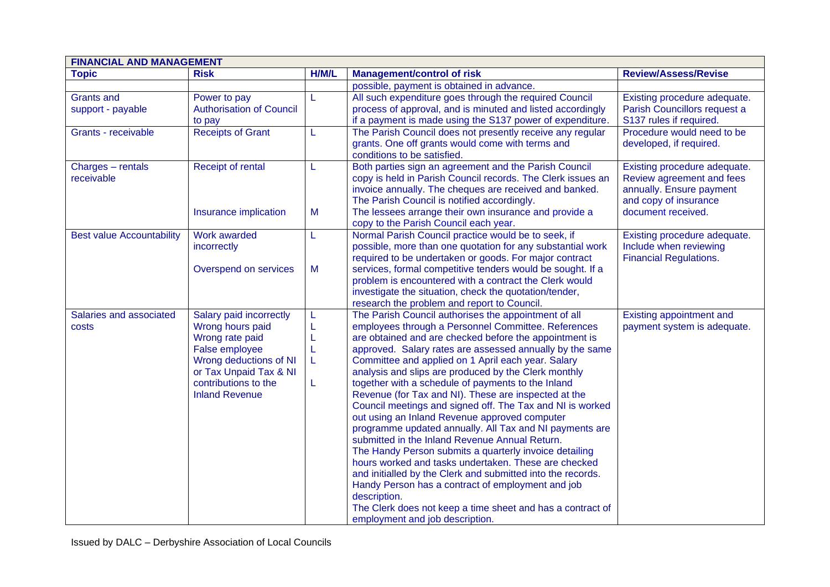| <b>FINANCIAL AND MANAGEMENT</b>        |                                                                                                                                                                                       |                  |                                                                                                                                                                                                                                                                                                                                                                                                                                                                                                                                                                                                                                                                                                                                                                                                                                                                                                                                                                                                                                                 |                                                                                                                                      |
|----------------------------------------|---------------------------------------------------------------------------------------------------------------------------------------------------------------------------------------|------------------|-------------------------------------------------------------------------------------------------------------------------------------------------------------------------------------------------------------------------------------------------------------------------------------------------------------------------------------------------------------------------------------------------------------------------------------------------------------------------------------------------------------------------------------------------------------------------------------------------------------------------------------------------------------------------------------------------------------------------------------------------------------------------------------------------------------------------------------------------------------------------------------------------------------------------------------------------------------------------------------------------------------------------------------------------|--------------------------------------------------------------------------------------------------------------------------------------|
| <b>Topic</b>                           | <b>Risk</b>                                                                                                                                                                           | H/M/L            | <b>Management/control of risk</b>                                                                                                                                                                                                                                                                                                                                                                                                                                                                                                                                                                                                                                                                                                                                                                                                                                                                                                                                                                                                               | <b>Review/Assess/Revise</b>                                                                                                          |
|                                        |                                                                                                                                                                                       |                  | possible, payment is obtained in advance.                                                                                                                                                                                                                                                                                                                                                                                                                                                                                                                                                                                                                                                                                                                                                                                                                                                                                                                                                                                                       |                                                                                                                                      |
| <b>Grants and</b><br>support - payable | Power to pay<br><b>Authorisation of Council</b><br>to pay                                                                                                                             | L                | All such expenditure goes through the required Council<br>process of approval, and is minuted and listed accordingly<br>if a payment is made using the S137 power of expenditure.                                                                                                                                                                                                                                                                                                                                                                                                                                                                                                                                                                                                                                                                                                                                                                                                                                                               | Existing procedure adequate.<br>Parish Councillors request a<br>S137 rules if required.                                              |
| Grants - receivable                    | <b>Receipts of Grant</b>                                                                                                                                                              | L                | The Parish Council does not presently receive any regular<br>grants. One off grants would come with terms and<br>conditions to be satisfied.                                                                                                                                                                                                                                                                                                                                                                                                                                                                                                                                                                                                                                                                                                                                                                                                                                                                                                    | Procedure would need to be<br>developed, if required.                                                                                |
| Charges - rentals<br>receivable        | Receipt of rental<br>Insurance implication                                                                                                                                            | L<br>M           | Both parties sign an agreement and the Parish Council<br>copy is held in Parish Council records. The Clerk issues an<br>invoice annually. The cheques are received and banked.<br>The Parish Council is notified accordingly.<br>The lessees arrange their own insurance and provide a                                                                                                                                                                                                                                                                                                                                                                                                                                                                                                                                                                                                                                                                                                                                                          | Existing procedure adequate.<br>Review agreement and fees<br>annually. Ensure payment<br>and copy of insurance<br>document received. |
| <b>Best value Accountability</b>       | Work awarded<br>incorrectly                                                                                                                                                           | L                | copy to the Parish Council each year.<br>Normal Parish Council practice would be to seek, if<br>possible, more than one quotation for any substantial work<br>required to be undertaken or goods. For major contract                                                                                                                                                                                                                                                                                                                                                                                                                                                                                                                                                                                                                                                                                                                                                                                                                            | Existing procedure adequate.<br>Include when reviewing<br><b>Financial Regulations.</b>                                              |
|                                        | Overspend on services                                                                                                                                                                 | M                | services, formal competitive tenders would be sought. If a<br>problem is encountered with a contract the Clerk would<br>investigate the situation, check the quotation/tender,<br>research the problem and report to Council.                                                                                                                                                                                                                                                                                                                                                                                                                                                                                                                                                                                                                                                                                                                                                                                                                   |                                                                                                                                      |
| Salaries and associated<br>costs       | Salary paid incorrectly<br>Wrong hours paid<br>Wrong rate paid<br>False employee<br>Wrong deductions of NI<br>or Tax Unpaid Tax & NI<br>contributions to the<br><b>Inland Revenue</b> | L<br>L<br>L<br>L | The Parish Council authorises the appointment of all<br>employees through a Personnel Committee. References<br>are obtained and are checked before the appointment is<br>approved. Salary rates are assessed annually by the same<br>Committee and applied on 1 April each year. Salary<br>analysis and slips are produced by the Clerk monthly<br>together with a schedule of payments to the Inland<br>Revenue (for Tax and NI). These are inspected at the<br>Council meetings and signed off. The Tax and NI is worked<br>out using an Inland Revenue approved computer<br>programme updated annually. All Tax and NI payments are<br>submitted in the Inland Revenue Annual Return.<br>The Handy Person submits a quarterly invoice detailing<br>hours worked and tasks undertaken. These are checked<br>and initialled by the Clerk and submitted into the records.<br>Handy Person has a contract of employment and job<br>description.<br>The Clerk does not keep a time sheet and has a contract of<br>employment and job description. | Existing appointment and<br>payment system is adequate.                                                                              |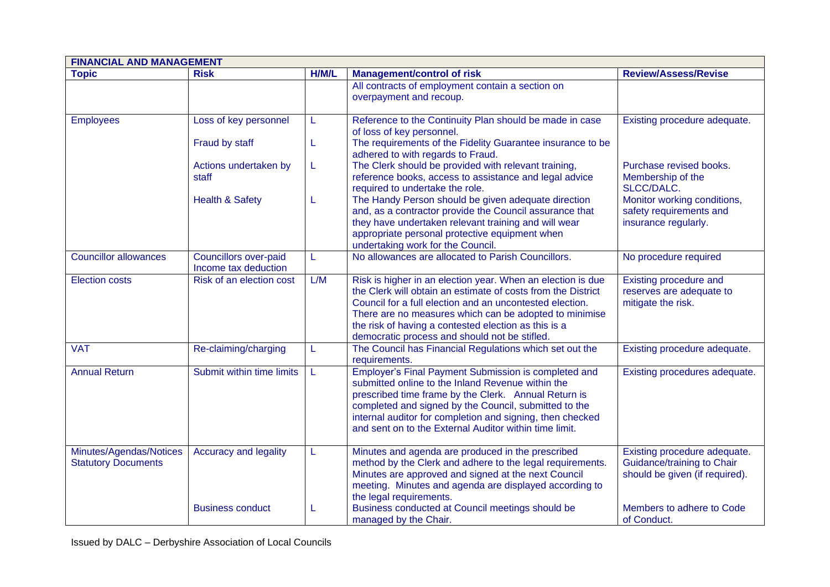| <b>FINANCIAL AND MANAGEMENT</b>                       |                                                      |       |                                                                                                                                                                                                                                                                                                                                                            |                                                                                              |  |
|-------------------------------------------------------|------------------------------------------------------|-------|------------------------------------------------------------------------------------------------------------------------------------------------------------------------------------------------------------------------------------------------------------------------------------------------------------------------------------------------------------|----------------------------------------------------------------------------------------------|--|
| <b>Topic</b>                                          | <b>Risk</b>                                          | H/M/L | <b>Management/control of risk</b>                                                                                                                                                                                                                                                                                                                          | <b>Review/Assess/Revise</b>                                                                  |  |
|                                                       |                                                      |       | All contracts of employment contain a section on<br>overpayment and recoup.                                                                                                                                                                                                                                                                                |                                                                                              |  |
| <b>Employees</b>                                      | Loss of key personnel                                | L     | Reference to the Continuity Plan should be made in case<br>of loss of key personnel.                                                                                                                                                                                                                                                                       | Existing procedure adequate.                                                                 |  |
|                                                       | Fraud by staff                                       | L     | The requirements of the Fidelity Guarantee insurance to be<br>adhered to with regards to Fraud.                                                                                                                                                                                                                                                            |                                                                                              |  |
|                                                       | Actions undertaken by<br>staff                       | L     | The Clerk should be provided with relevant training,<br>reference books, access to assistance and legal advice<br>required to undertake the role.                                                                                                                                                                                                          | Purchase revised books.<br>Membership of the<br>SLCC/DALC.                                   |  |
|                                                       | <b>Health &amp; Safety</b>                           | L     | The Handy Person should be given adequate direction<br>and, as a contractor provide the Council assurance that<br>they have undertaken relevant training and will wear<br>appropriate personal protective equipment when<br>undertaking work for the Council.                                                                                              | Monitor working conditions,<br>safety requirements and<br>insurance regularly.               |  |
| <b>Councillor allowances</b>                          | <b>Councillors over-paid</b><br>Income tax deduction | L     | No allowances are allocated to Parish Councillors.                                                                                                                                                                                                                                                                                                         | No procedure required                                                                        |  |
| <b>Election costs</b>                                 | Risk of an election cost                             | L/M   | Risk is higher in an election year. When an election is due<br>the Clerk will obtain an estimate of costs from the District<br>Council for a full election and an uncontested election.<br>There are no measures which can be adopted to minimise<br>the risk of having a contested election as this is a<br>democratic process and should not be stifled. | Existing procedure and<br>reserves are adequate to<br>mitigate the risk.                     |  |
| <b>VAT</b>                                            | Re-claiming/charging                                 | L     | The Council has Financial Regulations which set out the<br>requirements.                                                                                                                                                                                                                                                                                   | Existing procedure adequate.                                                                 |  |
| <b>Annual Return</b>                                  | Submit within time limits                            | L     | Employer's Final Payment Submission is completed and<br>submitted online to the Inland Revenue within the<br>prescribed time frame by the Clerk. Annual Return is<br>completed and signed by the Council, submitted to the<br>internal auditor for completion and signing, then checked<br>and sent on to the External Auditor within time limit.          | Existing procedures adequate.                                                                |  |
| Minutes/Agendas/Notices<br><b>Statutory Documents</b> | <b>Accuracy and legality</b>                         | L     | Minutes and agenda are produced in the prescribed<br>method by the Clerk and adhere to the legal requirements.<br>Minutes are approved and signed at the next Council<br>meeting. Minutes and agenda are displayed according to<br>the legal requirements.                                                                                                 | Existing procedure adequate.<br>Guidance/training to Chair<br>should be given (if required). |  |
|                                                       | <b>Business conduct</b>                              | L     | Business conducted at Council meetings should be<br>managed by the Chair.                                                                                                                                                                                                                                                                                  | Members to adhere to Code<br>of Conduct.                                                     |  |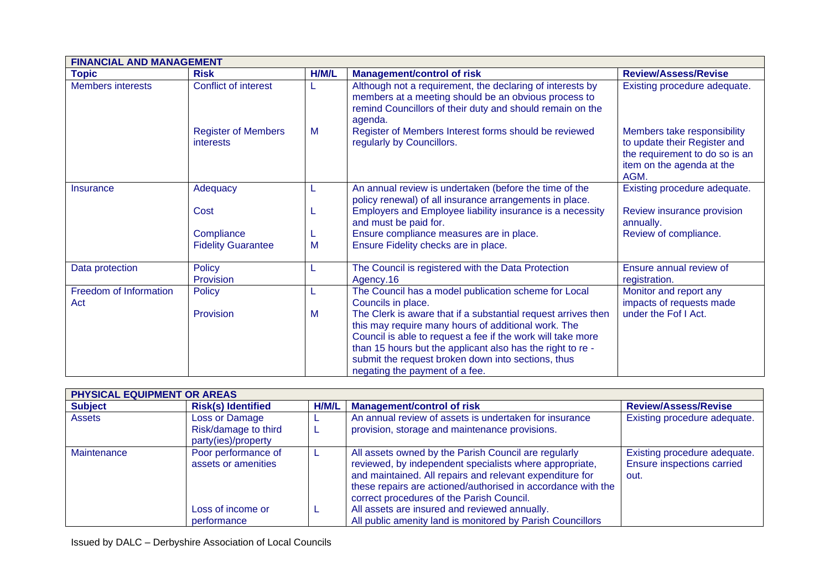| <b>FINANCIAL AND MANAGEMENT</b> |                                         |       |                                                                                                                                                                                                                                                                                                                                           |                                                                                                                                    |
|---------------------------------|-----------------------------------------|-------|-------------------------------------------------------------------------------------------------------------------------------------------------------------------------------------------------------------------------------------------------------------------------------------------------------------------------------------------|------------------------------------------------------------------------------------------------------------------------------------|
| <b>Topic</b>                    | <b>Risk</b>                             | H/M/L | <b>Management/control of risk</b>                                                                                                                                                                                                                                                                                                         | <b>Review/Assess/Revise</b>                                                                                                        |
| <b>Members interests</b>        | Conflict of interest                    |       | Although not a requirement, the declaring of interests by<br>members at a meeting should be an obvious process to<br>remind Councillors of their duty and should remain on the<br>agenda.                                                                                                                                                 | Existing procedure adequate.                                                                                                       |
|                                 | <b>Register of Members</b><br>interests | M     | Register of Members Interest forms should be reviewed<br>regularly by Councillors.                                                                                                                                                                                                                                                        | Members take responsibility<br>to update their Register and<br>the requirement to do so is an<br>item on the agenda at the<br>AGM. |
| Insurance                       | Adequacy                                |       | An annual review is undertaken (before the time of the<br>policy renewal) of all insurance arrangements in place.                                                                                                                                                                                                                         | Existing procedure adequate.                                                                                                       |
|                                 | Cost                                    |       | Employers and Employee liability insurance is a necessity<br>and must be paid for.                                                                                                                                                                                                                                                        | Review insurance provision<br>annually.                                                                                            |
|                                 | Compliance                              |       | Ensure compliance measures are in place.                                                                                                                                                                                                                                                                                                  | Review of compliance.                                                                                                              |
|                                 | <b>Fidelity Guarantee</b>               | M     | Ensure Fidelity checks are in place.                                                                                                                                                                                                                                                                                                      |                                                                                                                                    |
| Data protection                 | Policy<br>Provision                     |       | The Council is registered with the Data Protection<br>Agency.16                                                                                                                                                                                                                                                                           | Ensure annual review of<br>registration.                                                                                           |
| Freedom of Information<br>Act   | <b>Policy</b>                           |       | The Council has a model publication scheme for Local<br>Councils in place.                                                                                                                                                                                                                                                                | Monitor and report any<br>impacts of requests made                                                                                 |
|                                 | Provision                               | M     | The Clerk is aware that if a substantial request arrives then<br>this may require many hours of additional work. The<br>Council is able to request a fee if the work will take more<br>than 15 hours but the applicant also has the right to re -<br>submit the request broken down into sections, thus<br>negating the payment of a fee. | under the Fof I Act.                                                                                                               |

| PHYSICAL EQUIPMENT OR AREAS |                                                                                |       |                                                                                                                                                                                                                                                                                                                                                                                                         |                                                                           |
|-----------------------------|--------------------------------------------------------------------------------|-------|---------------------------------------------------------------------------------------------------------------------------------------------------------------------------------------------------------------------------------------------------------------------------------------------------------------------------------------------------------------------------------------------------------|---------------------------------------------------------------------------|
| <b>Subject</b>              | <b>Risk(s) Identified</b>                                                      | H/M/L | <b>Management/control of risk</b>                                                                                                                                                                                                                                                                                                                                                                       | <b>Review/Assess/Revise</b>                                               |
| <b>Assets</b>               | Loss or Damage<br>Risk/damage to third<br>party(ies)/property                  |       | An annual review of assets is undertaken for insurance<br>provision, storage and maintenance provisions.                                                                                                                                                                                                                                                                                                | Existing procedure adequate.                                              |
| Maintenance                 | Poor performance of<br>assets or amenities<br>Loss of income or<br>performance | ┕     | All assets owned by the Parish Council are regularly<br>reviewed, by independent specialists where appropriate,<br>and maintained. All repairs and relevant expenditure for<br>these repairs are actioned/authorised in accordance with the<br>correct procedures of the Parish Council.<br>All assets are insured and reviewed annually.<br>All public amenity land is monitored by Parish Councillors | Existing procedure adequate.<br><b>Ensure inspections carried</b><br>out. |